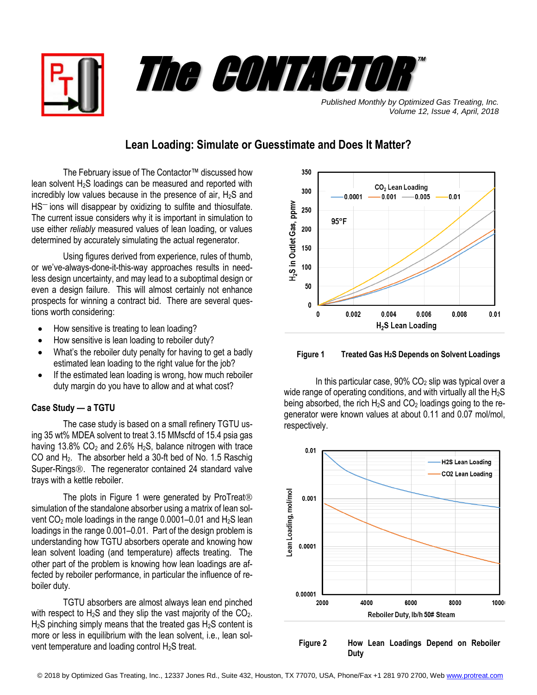



*Published Monthly by Optimized Gas Treating, Inc. Volume 12, Issue 4, April, 2018*

## **Lean Loading: Simulate or Guesstimate and Does It Matter?**

The February issue of The Contactor™ discussed how lean solvent  $H<sub>2</sub>S$  loadings can be measured and reported with incredibly low values because in the presence of air,  $H_2S$  and HS<sup>-</sup> ions will disappear by oxidizing to sulfite and thiosulfate. The current issue considers why it is important in simulation to use either *reliably* measured values of lean loading, or values determined by accurately simulating the actual regenerator.

Using figures derived from experience, rules of thumb, or we've-always-done-it-this-way approaches results in needless design uncertainty, and may lead to a suboptimal design or even a design failure. This will almost certainly not enhance prospects for winning a contract bid. There are several questions worth considering:

- How sensitive is treating to lean loading?
- How sensitive is lean loading to reboiler duty?
- What's the reboiler duty penalty for having to get a badly estimated lean loading to the right value for the job?
- If the estimated lean loading is wrong, how much reboiler duty margin do you have to allow and at what cost?

## **Case Study — a TGTU**

The case study is based on a small refinery TGTU using 35 wt% MDEA solvent to treat 3.15 MMscfd of 15.4 psia gas having 13.8%  $CO<sub>2</sub>$  and 2.6% H<sub>2</sub>S, balance nitrogen with trace CO and H2. The absorber held a 30-ft bed of No. 1.5 Raschig Super-Rings<sup>®</sup>. The regenerator contained 24 standard valve trays with a kettle reboiler.

The plots in Figure 1 were generated by ProTreat<sup>®</sup> simulation of the standalone absorber using a matrix of lean solvent CO<sub>2</sub> mole loadings in the range 0.0001–0.01 and H<sub>2</sub>S lean loadings in the range 0.001–0.01. Part of the design problem is understanding how TGTU absorbers operate and knowing how lean solvent loading (and temperature) affects treating. The other part of the problem is knowing how lean loadings are affected by reboiler performance, in particular the influence of reboiler duty.

TGTU absorbers are almost always lean end pinched with respect to  $H_2S$  and they slip the vast majority of the  $CO<sub>2</sub>$ .  $H<sub>2</sub>S$  pinching simply means that the treated gas  $H<sub>2</sub>S$  content is more or less in equilibrium with the lean solvent, i.e., lean solvent temperature and loading control H<sub>2</sub>S treat.



 **Figure 1 Treated Gas H2S Depends on Solvent Loadings**

In this particular case,  $90\%$  CO<sub>2</sub> slip was typical over a wide range of operating conditions, and with virtually all the  $H_2S$ being absorbed, the rich  $H_2S$  and  $CO_2$  loadings going to the regenerator were known values at about 0.11 and 0.07 mol/mol, respectively.



 **Figure 2 How Lean Loadings Depend on Reboiler Duty**